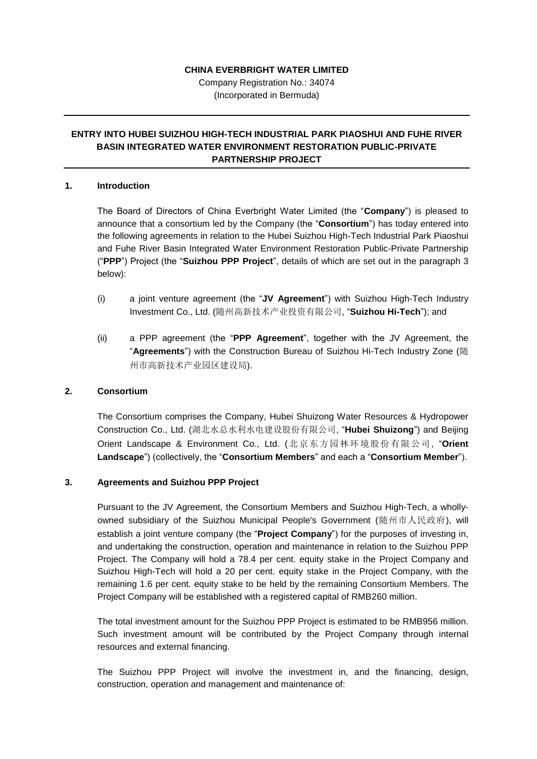#### **CHINA EVERBRIGHT WATER LIMITED**

Company Registration No.: 34074 (Incorporated in Bermuda)

# **ENTRY INTO HUBEI SUIZHOU HIGH-TECH INDUSTRIAL PARK PIAOSHUI AND FUHE RIVER BASIN INTEGRATED WATER ENVIRONMENT RESTORATION PUBLIC-PRIVATE PARTNERSHIP PROJECT**

### **1. Introduction**

The Board of Directors of China Everbright Water Limited (the "**Company**") is pleased to announce that a consortium led by the Company (the "**Consortium**") has today entered into the following agreements in relation to the Hubei Suizhou High-Tech Industrial Park Piaoshui and Fuhe River Basin Integrated Water Environment Restoration Public-Private Partnership ("**PPP**") Project (the "**Suizhou PPP Project**", details of which are set out in the paragraph 3 below):

- (i) a joint venture agreement (the "**JV Agreement**") with Suizhou High-Tech Industry Investment Co., Ltd. (随州高新技术产业投资有限公司, "**Suizhou Hi-Tech**"); and
- (ii) a PPP agreement (the "**PPP Agreement**", together with the JV Agreement, the "**Agreements**") with the Construction Bureau of Suizhou Hi-Tech Industry Zone (随 州市高新技术产业园区建设局).

### **2. Consortium**

The Consortium comprises the Company, Hubei Shuizong Water Resources & Hydropower Construction Co., Ltd. (湖北水总水利水电建设股份有限公司, "**Hubei Shuizong**") and Beijing Orient Landscape & Environment Co., Ltd. (北京东方园林环境股份有限公司, "**Orient Landscape**") (collectively, the "**Consortium Members**" and each a "**Consortium Member**").

#### **3. Agreements and Suizhou PPP Project**

Pursuant to the JV Agreement, the Consortium Members and Suizhou High-Tech, a whollyowned subsidiary of the Suizhou Municipal People's Government (随州市人民政府), will establish a joint venture company (the "**Project Company**") for the purposes of investing in, and undertaking the construction, operation and maintenance in relation to the Suizhou PPP Project. The Company will hold a 78.4 per cent. equity stake in the Project Company and Suizhou High-Tech will hold a 20 per cent. equity stake in the Project Company, with the remaining 1.6 per cent. equity stake to be held by the remaining Consortium Members. The Project Company will be established with a registered capital of RMB260 million.

The total investment amount for the Suizhou PPP Project is estimated to be RMB956 million. Such investment amount will be contributed by the Project Company through internal resources and external financing.

The Suizhou PPP Project will involve the investment in, and the financing, design, construction, operation and management and maintenance of: